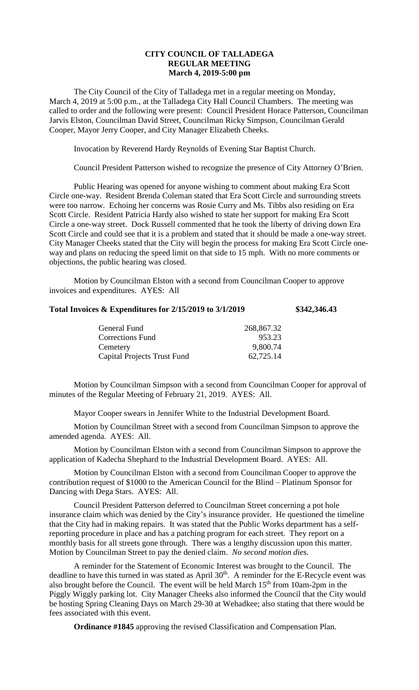# **CITY COUNCIL OF TALLADEGA REGULAR MEETING March 4, 2019-5:00 pm**

The City Council of the City of Talladega met in a regular meeting on Monday, March 4, 2019 at 5:00 p.m., at the Talladega City Hall Council Chambers. The meeting was called to order and the following were present: Council President Horace Patterson, Councilman Jarvis Elston, Councilman David Street, Councilman Ricky Simpson, Councilman Gerald Cooper, Mayor Jerry Cooper, and City Manager Elizabeth Cheeks.

Invocation by Reverend Hardy Reynolds of Evening Star Baptist Church.

Council President Patterson wished to recognize the presence of City Attorney O'Brien.

Public Hearing was opened for anyone wishing to comment about making Era Scott Circle one-way. Resident Brenda Coleman stated that Era Scott Circle and surrounding streets were too narrow. Echoing her concerns was Rosie Curry and Ms. Tibbs also residing on Era Scott Circle. Resident Patricia Hardy also wished to state her support for making Era Scott Circle a one-way street. Dock Russell commented that he took the liberty of driving down Era Scott Circle and could see that it is a problem and stated that it should be made a one-way street. City Manager Cheeks stated that the City will begin the process for making Era Scott Circle oneway and plans on reducing the speed limit on that side to 15 mph. With no more comments or objections, the public hearing was closed.

Motion by Councilman Elston with a second from Councilman Cooper to approve invoices and expenditures. AYES: All

# **Total Invoices & Expenditures for 2/15/2019 to 3/1/2019 \$342,346.43**

| General Fund                       | 268,867.32 |
|------------------------------------|------------|
| <b>Corrections Fund</b>            | 953.23     |
| Cemetery                           | 9,800.74   |
| <b>Capital Projects Trust Fund</b> | 62,725.14  |

Motion by Councilman Simpson with a second from Councilman Cooper for approval of minutes of the Regular Meeting of February 21, 2019. AYES: All.

Mayor Cooper swears in Jennifer White to the Industrial Development Board.

Motion by Councilman Street with a second from Councilman Simpson to approve the amended agenda. AYES: All.

Motion by Councilman Elston with a second from Councilman Simpson to approve the application of Kadecha Shephard to the Industrial Development Board. AYES: All.

Motion by Councilman Elston with a second from Councilman Cooper to approve the contribution request of \$1000 to the American Council for the Blind – Platinum Sponsor for Dancing with Dega Stars. AYES: All.

Council President Patterson deferred to Councilman Street concerning a pot hole insurance claim which was denied by the City's insurance provider. He questioned the timeline that the City had in making repairs. It was stated that the Public Works department has a selfreporting procedure in place and has a patching program for each street. They report on a monthly basis for all streets gone through. There was a lengthy discussion upon this matter. Motion by Councilman Street to pay the denied claim. *No second motion dies.*

A reminder for the Statement of Economic Interest was brought to the Council. The deadline to have this turned in was stated as April  $30<sup>th</sup>$ . A reminder for the E-Recycle event was also brought before the Council. The event will be held March  $15<sup>th</sup>$  from 10am-2pm in the Piggly Wiggly parking lot. City Manager Cheeks also informed the Council that the City would be hosting Spring Cleaning Days on March 29-30 at Wehadkee; also stating that there would be fees associated with this event.

**Ordinance #1845** approving the revised Classification and Compensation Plan.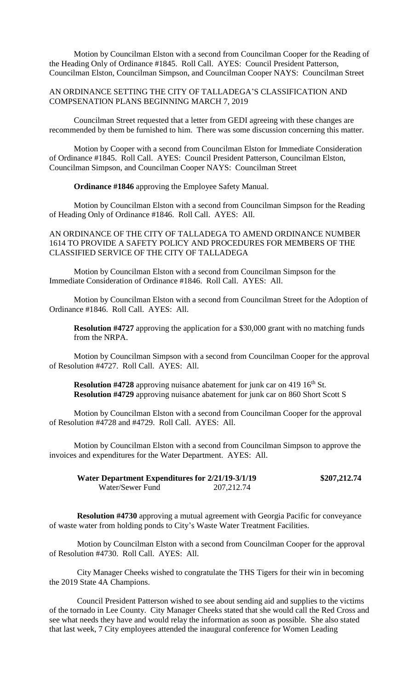Motion by Councilman Elston with a second from Councilman Cooper for the Reading of the Heading Only of Ordinance #1845. Roll Call. AYES: Council President Patterson, Councilman Elston, Councilman Simpson, and Councilman Cooper NAYS: Councilman Street

### AN ORDINANCE SETTING THE CITY OF TALLADEGA'S CLASSIFICATION AND COMPSENATION PLANS BEGINNING MARCH 7, 2019

Councilman Street requested that a letter from GEDI agreeing with these changes are recommended by them be furnished to him. There was some discussion concerning this matter.

Motion by Cooper with a second from Councilman Elston for Immediate Consideration of Ordinance #1845. Roll Call. AYES: Council President Patterson, Councilman Elston, Councilman Simpson, and Councilman Cooper NAYS: Councilman Street

**Ordinance #1846** approving the Employee Safety Manual.

Motion by Councilman Elston with a second from Councilman Simpson for the Reading of Heading Only of Ordinance #1846. Roll Call. AYES: All.

## AN ORDINANCE OF THE CITY OF TALLADEGA TO AMEND ORDINANCE NUMBER 1614 TO PROVIDE A SAFETY POLICY AND PROCEDURES FOR MEMBERS OF THE CLASSIFIED SERVICE OF THE CITY OF TALLADEGA

Motion by Councilman Elston with a second from Councilman Simpson for the Immediate Consideration of Ordinance #1846. Roll Call. AYES: All.

Motion by Councilman Elston with a second from Councilman Street for the Adoption of Ordinance #1846. Roll Call. AYES: All.

**Resolution #4727** approving the application for a \$30,000 grant with no matching funds from the NRPA.

Motion by Councilman Simpson with a second from Councilman Cooper for the approval of Resolution #4727. Roll Call. AYES: All.

**Resolution #4728** approving nuisance abatement for junk car on 419 16<sup>th</sup> St. **Resolution #4729** approving nuisance abatement for junk car on 860 Short Scott S

Motion by Councilman Elston with a second from Councilman Cooper for the approval of Resolution #4728 and #4729. Roll Call. AYES: All.

Motion by Councilman Elston with a second from Councilman Simpson to approve the invoices and expenditures for the Water Department. AYES: All.

| Water Department Expenditures for 2/21/19-3/1/19 |             | \$207,212.74 |
|--------------------------------------------------|-------------|--------------|
| Water/Sewer Fund                                 | 207, 212.74 |              |

**Resolution #4730** approving a mutual agreement with Georgia Pacific for conveyance of waste water from holding ponds to City's Waste Water Treatment Facilities.

Motion by Councilman Elston with a second from Councilman Cooper for the approval of Resolution #4730. Roll Call. AYES: All.

City Manager Cheeks wished to congratulate the THS Tigers for their win in becoming the 2019 State 4A Champions.

Council President Patterson wished to see about sending aid and supplies to the victims of the tornado in Lee County. City Manager Cheeks stated that she would call the Red Cross and see what needs they have and would relay the information as soon as possible. She also stated that last week, 7 City employees attended the inaugural conference for Women Leading